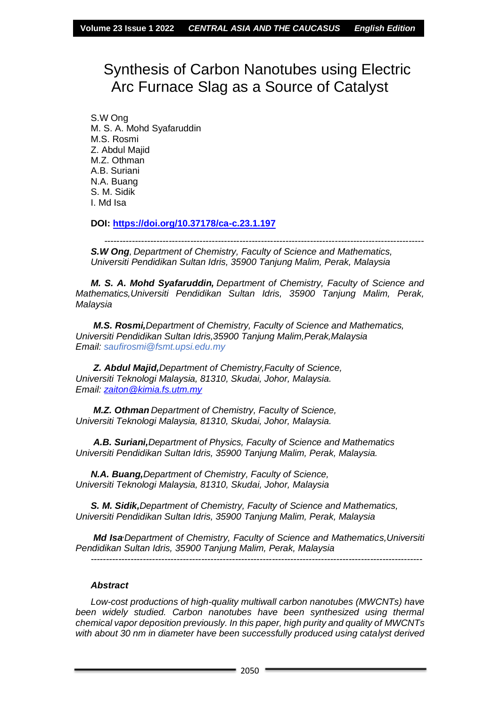# Synthesis of Carbon Nanotubes using Electric Arc Furnace Slag as a Source of Catalyst

S.W Ong M. S. A. Mohd Syafaruddin M.S. Rosmi Z. Abdul Majid M.Z. Othman A.B. Suriani N.A. Buang S. M. Sidik I. Md Isa

**DOI:<https://doi.org/10.37178/ca-c.23.1.197>**

--------------------------------------------------------------------------------------------------------

*S.W Ong, Department of Chemistry, Faculty of Science and Mathematics, Universiti Pendidikan Sultan Idris, 35900 Tanjung Malim, Perak, Malaysia*

*M. S. A. Mohd Syafaruddin, Department of Chemistry, Faculty of Science and Mathematics,Universiti Pendidikan Sultan Idris, 35900 Tanjung Malim, Perak, Malaysia*

*M.S. Rosmi,Department of Chemistry, Faculty of Science and Mathematics, Universiti Pendidikan Sultan Idris,35900 Tanjung Malim,Perak,Malaysia Email: saufirosmi@fsmt.upsi.edu.my*

*Z. Abdul Majid,Department of Chemistry,Faculty of Science, Universiti Teknologi Malaysia, 81310, Skudai, Johor, Malaysia. Email: [zaiton@kimia.fs.utm.my](mailto:zaiton@kimia.fs.utm.my)*

*M.Z. Othman Department of Chemistry, Faculty of Science, Universiti Teknologi Malaysia, 81310, Skudai, Johor, Malaysia.*

*A.B. Suriani,Department of Physics, Faculty of Science and Mathematics Universiti Pendidikan Sultan Idris, 35900 Tanjung Malim, Perak, Malaysia.*

*N.A. Buang,Department of Chemistry, Faculty of Science, Universiti Teknologi Malaysia, 81310, Skudai, Johor, Malaysia*

*S. M. Sidik,Department of Chemistry, Faculty of Science and Mathematics, Universiti Pendidikan Sultan Idris, 35900 Tanjung Malim, Perak, Malaysia*

*Md Isa,Department of Chemistry, Faculty of Science and Mathematics,Universiti Pendidikan Sultan Idris, 35900 Tanjung Malim, Perak, Malaysia*

*------------------------------------------------------------------------------------------------------------*

#### *Abstract*

*Low-cost productions of high-quality multiwall carbon nanotubes (MWCNTs) have*  been widely studied. Carbon nanotubes have been synthesized using thermal *chemical vapor deposition previously. In this paper, high purity and quality of MWCNTs*  with about 30 nm in diameter have been successfully produced using catalyst derived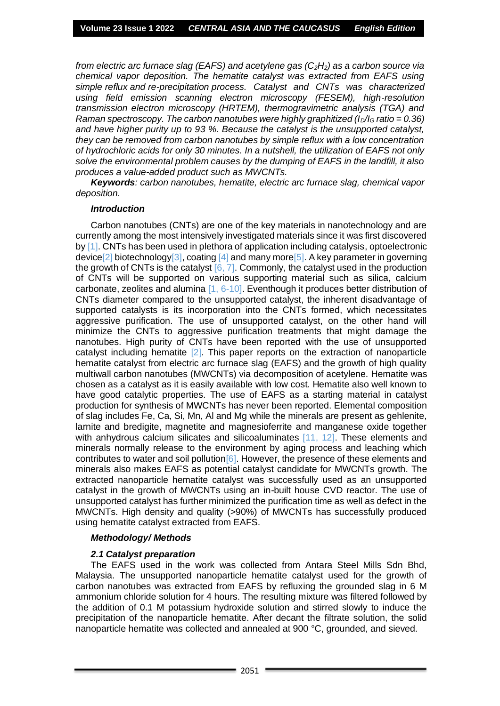*from electric arc furnace slag (EAFS) and acetylene gas (C2H2) as a carbon source via chemical vapor deposition. The hematite catalyst was extracted from EAFS using simple reflux and re-precipitation process. Catalyst and CNTs was characterized using field emission scanning electron microscopy (FESEM), high-resolution transmission electron microscopy (HRTEM), thermogravimetric analysis (TGA) and Raman spectroscopy. The carbon nanotubes were highly graphitized (* $I<sub>D</sub>/I<sub>G</sub>$  *ratio = 0.36) and have higher purity up to 93 %. Because the catalyst is the unsupported catalyst, they can be removed from carbon nanotubes by simple reflux with a low concentration of hydrochloric acids for only 30 minutes. In a nutshell, the utilization of EAFS not only solve the environmental problem causes by the dumping of EAFS in the landfill, it also produces a value-added product such as MWCNTs.*

*Keywords: carbon nanotubes, hematite, electric arc furnace slag, chemical vapor deposition.*

#### *Introduction*

Carbon nanotubes (CNTs) are one of the key materials in nanotechnology and are currently among the most intensively investigated materials since it was first discovered by [1]. CNTs has been used in plethora of application including catalysis, optoelectronic device[2] biotechnology[3], coating [4] and many more[5]. A key parameter in governing the growth of CNTs is the catalyst  $[6, 7]$ . Commonly, the catalyst used in the production of CNTs will be supported on various supporting material such as silica, calcium carbonate, zeolites and alumina [1, 6-10]. Eventhough it produces better distribution of CNTs diameter compared to the unsupported catalyst, the inherent disadvantage of supported catalysts is its incorporation into the CNTs formed, which necessitates aggressive purification. The use of unsupported catalyst, on the other hand will minimize the CNTs to aggressive purification treatments that might damage the nanotubes. High purity of CNTs have been reported with the use of unsupported catalyst including hematite [2]. This paper reports on the extraction of nanoparticle hematite catalyst from electric arc furnace slag (EAFS) and the growth of high quality multiwall carbon nanotubes (MWCNTs) via decomposition of acetylene. Hematite was chosen as a catalyst as it is easily available with low cost. Hematite also well known to have good catalytic properties. The use of EAFS as a starting material in catalyst production for synthesis of MWCNTs has never been reported. Elemental composition of slag includes Fe, Ca, Si, Mn, Al and Mg while the minerals are present as gehlenite, larnite and bredigite, magnetite and magnesioferrite and manganese oxide together with anhydrous calcium silicates and silicoaluminates [11, 12]. These elements and minerals normally release to the environment by aging process and leaching which contributes to water and soil pollution<sup>[6]</sup>. However, the presence of these elements and minerals also makes EAFS as potential catalyst candidate for MWCNTs growth. The extracted nanoparticle hematite catalyst was successfully used as an unsupported catalyst in the growth of MWCNTs using an in-built house CVD reactor. The use of unsupported catalyst has further minimized the purification time as well as defect in the MWCNTs. High density and quality (>90%) of MWCNTs has successfully produced using hematite catalyst extracted from EAFS.

#### *Methodology/ Methods*

## *2.1 Catalyst preparation*

The EAFS used in the work was collected from Antara Steel Mills Sdn Bhd, Malaysia. The unsupported nanoparticle hematite catalyst used for the growth of carbon nanotubes was extracted from EAFS by refluxing the grounded slag in 6 M ammonium chloride solution for 4 hours. The resulting mixture was filtered followed by the addition of 0.1 M potassium hydroxide solution and stirred slowly to induce the precipitation of the nanoparticle hematite. After decant the filtrate solution, the solid nanoparticle hematite was collected and annealed at 900 °C, grounded, and sieved.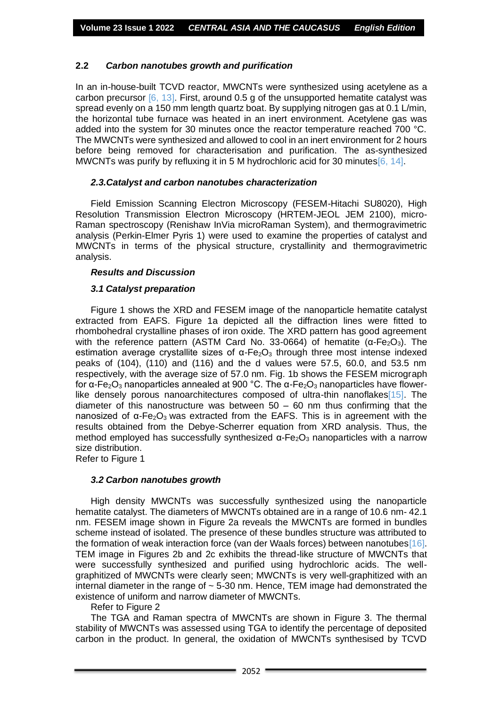## **2.2** *Carbon nanotubes growth and purification*

In an in-house-built TCVD reactor, MWCNTs were synthesized using acetylene as a carbon precursor [6, 13]. First, around 0.5 g of the unsupported hematite catalyst was spread evenly on a 150 mm length quartz boat. By supplying nitrogen gas at 0.1 L/min. the horizontal tube furnace was heated in an inert environment. Acetylene gas was added into the system for 30 minutes once the reactor temperature reached 700 °C. The MWCNTs were synthesized and allowed to cool in an inert environment for 2 hours before being removed for characterisation and purification. The as-synthesized MWCNTs was purify by refluxing it in 5 M hydrochloric acid for 30 minutes 6, 14].

## *2.3.Catalyst and carbon nanotubes characterization*

Field Emission Scanning Electron Microscopy (FESEM-Hitachi SU8020), High Resolution Transmission Electron Microscopy (HRTEM-JEOL JEM 2100), micro-Raman spectroscopy (Renishaw InVia microRaman System), and thermogravimetric analysis (Perkin-Elmer Pyris 1) were used to examine the properties of catalyst and MWCNTs in terms of the physical structure, crystallinity and thermogravimetric analysis.

## *Results and Discussion*

# *3.1 Catalyst preparation*

Figure 1 shows the XRD and FESEM image of the nanoparticle hematite catalyst extracted from EAFS. Figure 1a depicted all the diffraction lines were fitted to rhombohedral crystalline phases of iron oxide. The XRD pattern has good agreement with the reference pattern (ASTM Card No. 33-0664) of hematite ( $\alpha$ -Fe<sub>2</sub>O<sub>3</sub>). The estimation average crystallite sizes of  $\alpha$ -Fe<sub>2</sub>O<sub>3</sub> through three most intense indexed peaks of (104), (110) and (116) and the d values were 57.5, 60.0, and 53.5 nm respectively, with the average size of 57.0 nm. Fig. 1b shows the FESEM micrograph for α-Fe<sub>2</sub>O<sub>3</sub> nanoparticles annealed at 900 °C. The α-Fe<sub>2</sub>O<sub>3</sub> nanoparticles have flowerlike densely porous nanoarchitectures composed of ultra-thin nanoflakes[15]. The diameter of this nanostructure was between  $50 - 60$  nm thus confirming that the nanosized of  $α$ -Fe<sub>2</sub>O<sub>3</sub> was extracted from the EAFS. This is in agreement with the results obtained from the Debye-Scherrer equation from XRD analysis. Thus, the method employed has successfully synthesized  $\alpha$ -Fe<sub>2</sub>O<sub>3</sub> nanoparticles with a narrow size distribution.

Refer to Figure 1

## *3.2 Carbon nanotubes growth*

High density MWCNTs was successfully synthesized using the nanoparticle hematite catalyst. The diameters of MWCNTs obtained are in a range of 10.6 nm- 42.1 nm. FESEM image shown in Figure 2a reveals the MWCNTs are formed in bundles scheme instead of isolated. The presence of these bundles structure was attributed to the formation of weak interaction force (van der Waals forces) between nanotubes[16]. TEM image in Figures 2b and 2c exhibits the thread-like structure of MWCNTs that were successfully synthesized and purified using hydrochloric acids. The wellgraphitized of MWCNTs were clearly seen; MWCNTs is very well-graphitized with an internal diameter in the range of  $\sim$  5-30 nm. Hence, TEM image had demonstrated the existence of uniform and narrow diameter of MWCNTs.

Refer to Figure 2

The TGA and Raman spectra of MWCNTs are shown in Figure 3. The thermal stability of MWCNTs was assessed using TGA to identify the percentage of deposited carbon in the product. In general, the oxidation of MWCNTs synthesised by TCVD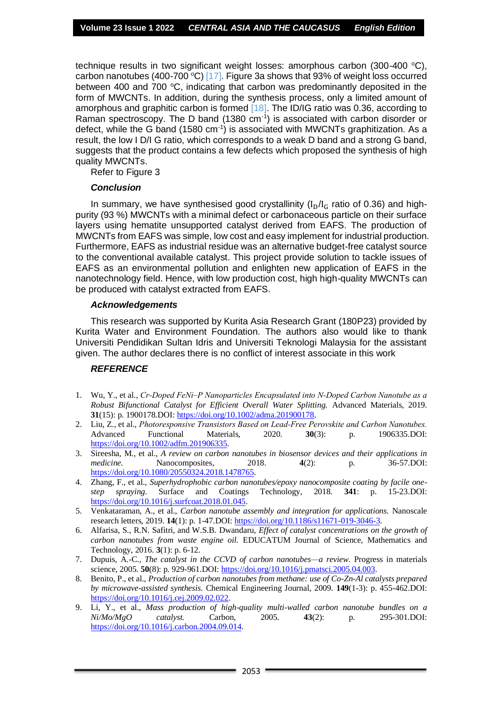technique results in two significant weight losses: amorphous carbon (300-400  $^{\circ}$ C), carbon nanotubes (400-700 °C) [17]. Figure 3a shows that 93% of weight loss occurred between 400 and 700  $\degree$ C, indicating that carbon was predominantly deposited in the form of MWCNTs. In addition, during the synthesis process, only a limited amount of amorphous and graphitic carbon is formed [18]. The ID/IG ratio was 0.36, according to Raman spectroscopy. The D band  $(1380 \text{ cm}^{-1})$  is associated with carbon disorder or defect, while the G band (1580  $cm^{-1}$ ) is associated with MWCNTs graphitization. As a result, the low I D/I G ratio, which corresponds to a weak D band and a strong G band, suggests that the product contains a few defects which proposed the synthesis of high quality MWCNTs.

Refer to Figure 3

#### *Conclusion*

In summary, we have synthesised good crystallinity  $(I_D/I_G$  ratio of 0.36) and highpurity (93 %) MWCNTs with a minimal defect or carbonaceous particle on their surface layers using hematite unsupported catalyst derived from EAFS. The production of MWCNTs from EAFS was simple, low cost and easy implement for industrial production. Furthermore, EAFS as industrial residue was an alternative budget-free catalyst source to the conventional available catalyst. This project provide solution to tackle issues of EAFS as an environmental pollution and enlighten new application of EAFS in the nanotechnology field. Hence, with low production cost, high high-quality MWCNTs can be produced with catalyst extracted from EAFS.

#### *Acknowledgements*

This research was supported by Kurita Asia Research Grant (180P23) provided by Kurita Water and Environment Foundation. The authors also would like to thank Universiti Pendidikan Sultan Idris and Universiti Teknologi Malaysia for the assistant given. The author declares there is no conflict of interest associate in this work

## *REFERENCE*

- 1. Wu, Y., et al., *Cr‐Doped FeNi–P Nanoparticles Encapsulated into N‐Doped Carbon Nanotube as a Robust Bifunctional Catalyst for Efficient Overall Water Splitting.* Advanced Materials, 2019. **31**(15): p. 1900178.DOI[: https://doi.org/10.1002/adma.201900178.](https://doi.org/10.1002/adma.201900178)
- 2. Liu, Z., et al., *Photoresponsive Transistors Based on Lead‐Free Perovskite and Carbon Nanotubes.* Advanced Functional Materials, 2020. **30**(3): p. 1906335.DOI: [https://doi.org/10.1002/adfm.201906335.](https://doi.org/10.1002/adfm.201906335)
- 3. Sireesha, M., et al., *A review on carbon nanotubes in biosensor devices and their applications in medicine.* Nanocomposites, 2018. **4**(2): p. 36-57.DOI: [https://doi.org/10.1080/20550324.2018.1478765.](https://doi.org/10.1080/20550324.2018.1478765)
- 4. Zhang, F., et al., *Superhydrophobic carbon nanotubes/epoxy nanocomposite coating by facile onestep spraying.* Surface and Coatings Technology, 2018. **341**: p. 15-23.DOI: [https://doi.org/10.1016/j.surfcoat.2018.01.045.](https://doi.org/10.1016/j.surfcoat.2018.01.045)
- 5. Venkataraman, A., et al., *Carbon nanotube assembly and integration for applications.* Nanoscale research letters, 2019. **14**(1): p. 1-47.DOI: [https://doi.org/10.1186/s11671-019-3046-3.](https://doi.org/10.1186/s11671-019-3046-3)
- 6. Alfarisa, S., R.N. Safitri, and W.S.B. Dwandaru, *Effect of catalyst concentrations on the growth of carbon nanotubes from waste engine oil.* EDUCATUM Journal of Science, Mathematics and Technology, 2016. **3**(1): p. 6-12.
- 7. Dupuis, A.-C., *The catalyst in the CCVD of carbon nanotubes—a review.* Progress in materials science, 2005. **50**(8): p. 929-961.DOI: [https://doi.org/10.1016/j.pmatsci.2005.04.003.](https://doi.org/10.1016/j.pmatsci.2005.04.003)
- 8. Benito, P., et al., *Production of carbon nanotubes from methane: use of Co-Zn-Al catalysts prepared by microwave-assisted synthesis.* Chemical Engineering Journal, 2009. **149**(1-3): p. 455-462.DOI: [https://doi.org/10.1016/j.cej.2009.02.022.](https://doi.org/10.1016/j.cej.2009.02.022)
- 9. Li, Y., et al., *Mass production of high-quality multi-walled carbon nanotube bundles on a Ni/Mo/MgO catalyst.* Carbon, 2005. **43**(2): p. 295-301.DOI: [https://doi.org/10.1016/j.carbon.2004.09.014.](https://doi.org/10.1016/j.carbon.2004.09.014)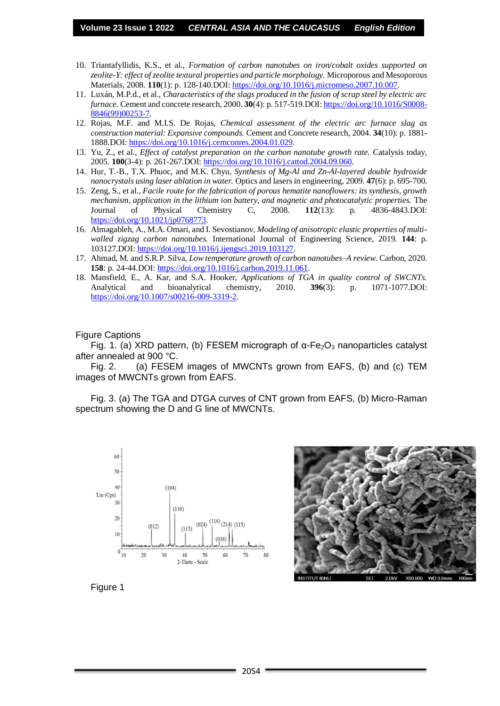- 10. Triantafyllidis, K.S., et al., *Formation of carbon nanotubes on iron/cobalt oxides supported on zeolite-Y: effect of zeolite textural properties and particle morphology.* Microporous and Mesoporous Materials, 2008. **110**(1): p. 128-140.DOI[: https://doi.org/10.1016/j.micromeso.2007.10.007.](https://doi.org/10.1016/j.micromeso.2007.10.007)
- 11. Luxán, M.P.d., et al., *Characteristics of the slags produced in the fusion of scrap steel by electric arc furnace.* Cement and concrete research, 2000. **30**(4): p. 517-519.DOI[: https://doi.org/10.1016/S0008-](https://doi.org/10.1016/S0008-8846(99)00253-7) [8846\(99\)00253-7.](https://doi.org/10.1016/S0008-8846(99)00253-7)
- 12. Rojas, M.F. and M.I.S. De Rojas, *Chemical assessment of the electric arc furnace slag as construction material: Expansive compounds.* Cement and Concrete research, 2004. **34**(10): p. 1881- 1888.DOI[: https://doi.org/10.1016/j.cemconres.2004.01.029.](https://doi.org/10.1016/j.cemconres.2004.01.029)
- 13. Yu, Z., et al., *Effect of catalyst preparation on the carbon nanotube growth rate.* Catalysis today, 2005. **100**(3-4): p. 261-267.DOI: [https://doi.org/10.1016/j.cattod.2004.09.060.](https://doi.org/10.1016/j.cattod.2004.09.060)
- 14. Hur, T.-B., T.X. Phuoc, and M.K. Chyu, *Synthesis of Mg-Al and Zn-Al-layered double hydroxide nanocrystals using laser ablation in water.* Optics and lasers in engineering, 2009. **47**(6): p. 695-700.
- 15. Zeng, S., et al., *Facile route for the fabrication of porous hematite nanoflowers: its synthesis, growth mechanism, application in the lithium ion battery, and magnetic and photocatalytic properties.* The Journal of Physical Chemistry C, 2008. **112**(13): p. 4836-4843.DOI: [https://doi.org/10.1021/jp0768773.](https://doi.org/10.1021/jp0768773)
- 16. Almagableh, A., M.A. Omari, and I. Sevostianov, *Modeling of anisotropic elastic properties of multiwalled zigzag carbon nanotubes.* International Journal of Engineering Science, 2019. **144**: p. 103127.DOI[: https://doi.org/10.1016/j.ijengsci.2019.103127.](https://doi.org/10.1016/j.ijengsci.2019.103127)
- 17. Ahmad, M. and S.R.P. Silva, *Low temperature growth of carbon nanotubes–A review.* Carbon, 2020. **158**: p. 24-44.DOI: [https://doi.org/10.1016/j.carbon.2019.11.061.](https://doi.org/10.1016/j.carbon.2019.11.061)
- 18. Mansfield, E., A. Kar, and S.A. Hooker, *Applications of TGA in quality control of SWCNTs.* Analytical and bioanalytical chemistry, 2010. **396**(3): p. 1071-1077.DOI: [https://doi.org/10.1007/s00216-009-3319-2.](https://doi.org/10.1007/s00216-009-3319-2)

#### Figure Captions

Fig. 1. (a) XRD pattern, (b) FESEM micrograph of  $\alpha$ -Fe<sub>2</sub>O<sub>3</sub> nanoparticles catalyst after annealed at 900 °C.

Fig. 2. (a) FESEM images of MWCNTs grown from EAFS, (b) and (c) TEM images of MWCNTs grown from EAFS.

Fig. 3. (a) The TGA and DTGA curves of CNT grown from EAFS, (b) Micro-Raman spectrum showing the D and G line of MWCNTs.





Figure 1